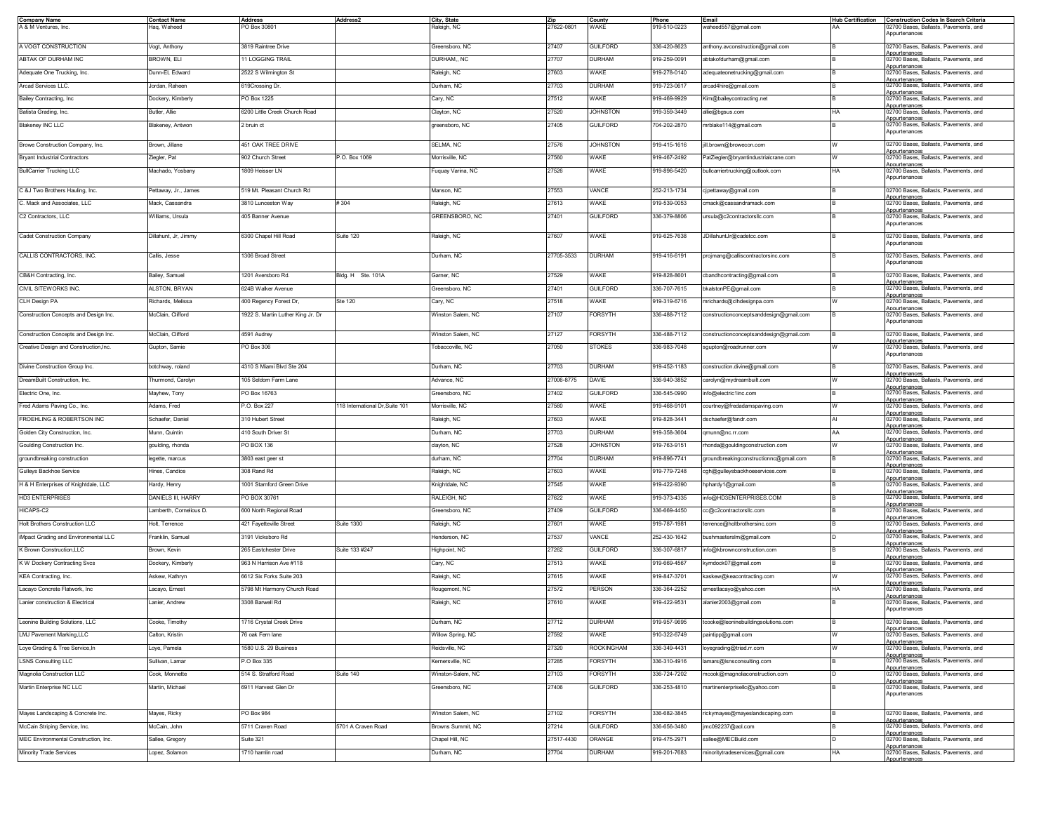| <b>Company Name</b>                    | <b>Contact Name</b>     | <b>Address</b>                    | Address <sub>2</sub>            | City, State       | Zip        | County            | Phone        | Email                                   | <b>Hub Certification</b> | <b>Construction Codes In Search Criteria</b>           |
|----------------------------------------|-------------------------|-----------------------------------|---------------------------------|-------------------|------------|-------------------|--------------|-----------------------------------------|--------------------------|--------------------------------------------------------|
| A & M Ventures, Inc.                   | Haq, Waheed             | PO Box 30801                      |                                 | Raleigh, NC       | 27622-0801 | WAKE              | 919-510-0223 | waheed557@gmail.com                     | AA                       | 02700 Bases, Ballasts, Pavements, and<br>Appurtenances |
| A VOGT CONSTRUCTION                    | Vogt, Anthony           | 3819 Raintree Drive               |                                 | Greensboro, NC    | 27407      | <b>GUILFORD</b>   | 336-420-8623 | anthony.avconstruction@gmail.com        |                          | 02700 Bases, Ballasts, Pavements, and                  |
|                                        |                         |                                   |                                 |                   |            |                   |              |                                         |                          | Appurtenances<br>02700 Bases, Ballasts, Pavements, and |
| ABTAK OF DURHAM INC                    | BROWN, ELI              | 11 LOGGING TRAIL                  |                                 | DURHAM., NC       | 27707      | <b>DURHAM</b>     | 919-259-0091 | abtakofdurham@gmail.com                 |                          | Appurtenances                                          |
| Adequate One Trucking, Inc.            | Dunn-El, Edward         | 2522 S Wilmington St              |                                 | Raleigh, NC       | 27603      | WAKE              | 919-278-0140 | adequateonetrucking@gmail.com           |                          | 02700 Bases, Ballasts, Pavements, and<br>Appurtenances |
| Arcad Services LLC.                    | Jordan, Raheen          | 619Crossing Dr.                   |                                 | Durham, NC        | 27703      | <b>DURHAM</b>     | 919-723-0617 | arcad4hire@gmail.com                    |                          | 02700 Bases, Ballasts, Pavements, and                  |
| Bailey Contracting, Inc.               | Dockery, Kimberly       | PO Box 1225                       |                                 | Cary, NC          | 27512      | WAKE              | 919-469-9929 | Kim@baileycontracting.net               |                          | Appurtenances<br>02700 Bases, Ballasts, Pavements, and |
| Batista Grading, Inc.                  | Butler, Allie           | 6200 Little Creek Church Road     |                                 | Clayton, NC       | 27520      | <b>JOHNSTON</b>   | 919-359-3449 | allie@bgsus.com                         | HA                       | Appurtenances<br>02700 Bases, Ballasts, Pavements, and |
| <b>Blakeney INC LLC</b>                | Blakeney, Antwon        | 2 bruin ct                        |                                 | greensboro, NC    | 27405      | <b>GUILFORD</b>   | 704-202-2870 | mrblake114@gmail.com                    |                          | Appurtenances<br>02700 Bases, Ballasts, Pavements, and |
|                                        |                         |                                   |                                 |                   |            |                   |              |                                         |                          | Appurtenances                                          |
| Browe Construction Company, Inc.       | Brown, Jillane          | 451 OAK TREE DRIVE                |                                 | SELMA, NC         | 27576      | <b>JOHNSTON</b>   | 919-415-1616 | ill.brown@browecon.com                  |                          | 02700 Bases, Ballasts, Pavements, and                  |
| <b>Bryant Industrial Contractors</b>   | Ziegler, Pat            | 902 Church Street                 | P.O. Box 1069                   | Morrisville, NC   | 27560      | WAKE              | 919-467-2492 | PatZiegler@bryantindustrialcrane.com    |                          | Appurtenances<br>02700 Bases, Ballasts, Pavements, and |
|                                        |                         |                                   |                                 |                   |            |                   |              |                                         | HA                       | voourtenances<br>02700 Bases, Ballasts, Pavements, and |
| <b>BullCarrier Trucking LLC</b>        | Machado, Yosbany        | 1809 Heisser LN                   |                                 | Fuquay Varina, NC | 27526      | WAKE              | 919-896-5420 | bullcarriertrucking@outlook.com         |                          | Appurtenances                                          |
| C &J Two Brothers Hauling, Inc.        | Pettaway, Jr., James    | 519 Mt. Pleasant Church Rd        |                                 | Manson, NC        | 27553      | VANCE             | 252-213-1734 | :jpettaway@gmail.com                    |                          | 02700 Bases, Ballasts, Pavements, and                  |
| C. Mack and Associates, LLC            | Mack, Cassandra         | 3810 Lunceston Way                | #304                            | Raleigh, NC       | 27613      | WAKE              | 919-539-0053 | cmack@cassandramack.com                 |                          | Appurtenances<br>02700 Bases, Ballasts, Pavements, and |
|                                        |                         |                                   |                                 |                   |            |                   |              |                                         |                          | Appurtenances                                          |
| C2 Contractors, LLC                    | Williams, Ursula        | 405 Banner Avenue                 |                                 | GREENSBORO, NC    | 27401      | <b>GUILFORD</b>   | 336-379-8806 | ursula@c2contractorsllc.com             |                          | 02700 Bases, Ballasts, Pavements, and<br>Appurtenances |
| Cadet Construction Company             | Dillahunt, Jr, Jimmy    | 6300 Chapel Hill Road             | Suite 120                       | Raleigh, NC       | 27607      | WAKE              | 919-625-7638 | JDillahuntJr@cadetcc.com                |                          | 02700 Bases, Ballasts, Pavements, and                  |
|                                        |                         |                                   |                                 |                   |            |                   |              |                                         |                          | Appurtenances                                          |
| CALLIS CONTRACTORS, INC.               | Callis, Jesse           | 1306 Broad Street                 |                                 | Durham, NC        | 27705-3533 | <b>DURHAM</b>     | 919-416-6191 | projmang@calliscontractorsinc.com       |                          | 02700 Bases, Ballasts, Pavements, and                  |
|                                        |                         |                                   |                                 |                   |            |                   |              |                                         |                          | Appurtenances                                          |
| CB&H Contracting, Inc.                 | Bailey, Samuel          | 1201 Aversboro Rd.                | Bldg. H Ste. 101A               | Garner, NC        | 27529      | WAKE              | 919-828-8601 | cbandhcontracting@gmail.com             |                          | 02700 Bases, Ballasts, Pavements, and<br>Appurtenances |
| CIVIL SITEWORKS INC.                   | <b>ALSTON, BRYAN</b>    | 624B Walker Avenue                |                                 | Greensboro, NC    | 27401      | <b>GUILFORD</b>   | 336-707-7615 | bkalstonPE@gmail.com                    |                          | 02700 Bases, Ballasts, Pavements, and                  |
| CLH Design PA                          | Richards, Melissa       | 400 Regency Forest Dr,            | Ste 120                         | Cary, NC          | 27518      | WAKE              | 919-319-6716 | mrichards@clhdesignpa.com               |                          | Appurtenances<br>02700 Bases, Ballasts, Pavements, and |
| Construction Concepts and Design Inc.  | McClain, Clifford       | 1922 S. Martin Luther King Jr. Dr |                                 | Winston Salem, NC | 27107      | <b>FORSYTH</b>    | 336-488-7112 | constructionconceptsanddesign@gmail.com |                          | Appurtenances<br>02700 Bases, Ballasts, Pavements, and |
|                                        |                         |                                   |                                 |                   |            |                   |              |                                         |                          | Appurtenances                                          |
| Construction Concepts and Design Inc.  | McClain, Clifford       | 4591 Audrey                       |                                 | Winston Salem, NC | 27127      | <b>FORSYTH</b>    | 336-488-7112 | constructionconceptsanddesign@gmail.com |                          | 02700 Bases, Ballasts, Pavements, and                  |
| Creative Design and Construction, Inc. | Gupton, Samie           | PO Box 306                        |                                 | Tobaccoville, NC  | 27050      | <b>STOKES</b>     | 336-983-7048 | sgupton@roadrunner.com                  |                          | Appurtenances<br>02700 Bases, Ballasts, Pavements, and |
|                                        |                         |                                   |                                 |                   |            |                   |              |                                         |                          | Appurtenances                                          |
| Divine Construction Group Inc.         | botchway, roland        | 4310 S Miami Blvd Ste 204         |                                 | Durham, NC        | 27703      | <b>DURHAM</b>     | 919-452-1183 | construction.divine@gmail.com           |                          | 02700 Bases Ballasts Pavements and                     |
| DreamBuilt Construction, Inc.          | Thurmond, Carolyn       | 105 Seldom Farm Lane              |                                 | Advance, NC       | 27006-8775 | DAVIE             | 336-940-3852 | carolyn@mydreambuilt.com                |                          | Appurtenances<br>02700 Bases, Ballasts, Pavements, and |
| Electric One, Inc.                     | Mayhew, Tony            | PO Box 16763                      |                                 | Greensboro, NC    | 27402      | <b>GUILFORD</b>   | 336-545-0990 | info@electric1inc.com                   |                          | Appurtenances<br>02700 Bases, Ballasts, Pavements, and |
|                                        |                         |                                   |                                 |                   |            |                   |              |                                         |                          | Appurtenances                                          |
| Fred Adams Paving Co., Inc.            | Adams, Fred             | P.O. Box 227                      | 118 International Dr, Suite 101 | Morrisville, NC   | 27560      | WAKE              | 919-468-9101 | courtney@fredadamspaving.com            |                          | 02700 Bases, Ballasts, Pavements, and<br>Appurtenances |
| FROEHLING & ROBERTSON INC              | Schaefer, Daniel        | 310 Hubert Street                 |                                 | Raleigh, NC       | 27603      | WAKE              | 919-828-3441 | dschaefer@fandr.com                     |                          | 02700 Bases, Ballasts, Pavements, and<br>Appurtenances |
| Golden City Construction, Inc.         | Munn, Quintin           | 410 South Driver St               |                                 | Durham, NC        | 27703      | <b>DURHAM</b>     | 919-358-3604 | qmunn@nc.rr.com                         | AA                       | 02700 Bases, Ballasts, Pavements, and                  |
| Goulding Construction Inc.             | goulding, rhonda        | PO BOX 136                        |                                 | clayton, NC       | 27528      | <b>JOHNSTON</b>   | 919-763-9151 | rhonda@gouldingconstruction.com         | W                        | Appurtenances<br>02700 Bases, Ballasts, Pavements, and |
| groundbreaking construction            | legette, marcus         | 3803 east geer st                 |                                 | durham, NC        | 27704      | <b>DURHAM</b>     | 919-896-7741 | groundbreakingconstructionnc@gmail.com  |                          | Appurtenances<br>02700 Bases, Ballasts, Pavements, and |
| Gulleys Backhoe Service                | Hines, Candice          | 308 Rand Rd                       |                                 | Raleigh, NC       | 27603      | WAKE              | 919-779-7248 | cgh@gulleysbackhoeservices.com          |                          | Appurtenances<br>02700 Bases, Ballasts, Pavements, and |
|                                        |                         |                                   |                                 |                   |            |                   |              |                                         |                          | Appurtenances<br>02700 Bases, Ballasts, Pavements, and |
| H & H Enterprises of Knightdale, LLC   | Hardy, Henry            | 1001 Stamford Green Drive         |                                 | Knightdale, NC    | 27545      | WAKE              | 919-422-9390 | hphardy1@gmail.com                      |                          | voourtenances                                          |
| <b>HD3 ENTERPRISES</b>                 | DANIELS III, HARRY      | PO BOX 30761                      |                                 | RALEIGH, NC       | 27622      | WAKE              | 919-373-4335 | info@HD3ENTERPRISES.COM                 |                          | 02700 Bases, Ballasts, Pavements, and<br>Appurtenances |
| HICAPS-C2                              | Lamberth, Cornelious D. | 600 North Regional Road           |                                 | Greensboro, NC    | 27409      | <b>GUILFORD</b>   | 336-669-4450 | cc@c2contractorsllc.com                 |                          | 02700 Bases, Ballasts, Pavements, and<br>Appurtenances |
| Holt Brothers Construction LLC         | Holt, Terrence          | 421 Fayetteville Street           | <b>Suite 1300</b>               | Raleigh, NC       | 27601      | WAKE              | 919-787-1981 | terrence@holtbrothersinc.com            |                          | 02700 Bases, Ballasts, Pavements, and                  |
| iMpact Grading and Environmental LLC   | Franklin, Samuel        | 3191 Vicksboro Rd                 |                                 | Henderson, NC     | 27537      | VANCE             | 252-430-1642 | bushmastersIm@gmail.com                 |                          | vopurtenances<br>02700 Bases, Ballasts, Pavements, and |
| K Brown Construction, LLC              | Brown, Kevin            | 265 Eastchester Drive             | Suite 133 #247                  | Highpoint, NC     | 27262      | <b>GUILFORD</b>   | 336-307-6817 | info@kbrownconstruction.com             |                          | Appurtenances<br>02700 Bases, Ballasts, Pavements, and |
| K W Dockery Contracting Svcs           | Dockery, Kimberly       | 963 N Harrison Ave #118           |                                 | Cary, NC          | 27513      | WAKE              | 919-669-4567 | kymdock07@gmail.com                     |                          | Appurtenances<br>02700 Bases, Ballasts, Pavements, and |
|                                        |                         |                                   |                                 |                   |            |                   |              |                                         |                          | Appurtenances                                          |
| KEA Contracting, Inc.                  | Askew, Kathryn          | 6612 Six Forks Suite 203          |                                 | Raleigh, NC       | 27615      | WAKE              | 919-847-3701 | kaskew@keacontracting.com               |                          | 02700 Bases, Ballasts, Pavements, and<br>Appurtenances |
| Lacayo Concrete Flatwork, Inc          | Lacayo, Ernest          | 5798 Mt Harmony Church Road       |                                 | Rougemont, NC     | 27572      | PERSON            | 336-364-2252 | ernestlacayo@yahoo.com                  | HA                       | 02700 Bases, Ballasts, Pavements, and<br>Appurtenances |
| Lanier construction & Electrical       | Lanier, Andrew          | 3308 Barwell Rd                   |                                 | Raleigh, NC       | 27610      | WAKE              | 919-422-9531 | alanier2003@gmail.com                   |                          | 02700 Bases, Ballasts, Pavements, and                  |
|                                        |                         |                                   |                                 |                   |            |                   |              |                                         |                          | Appurtenances                                          |
| Leonine Building Solutions, LLC        | Cooke, Timothy          | 1716 Crystal Creek Drive          |                                 | Durham, NC        | 27712      | <b>DURHAM</b>     | 919-957-9695 | tcooke@leoninebuildingsolutions.com     |                          | 02700 Bases, Ballasts, Pavements, and<br>Appurtenances |
| LMJ Pavement Marking, LLC              | Calton, Kristin         | 76 oak Fern lane                  |                                 | Willow Spring, NC | 27592      | WAKE              | 910-322-6749 | baintipp@gmail.com                      |                          | 02700 Bases, Ballasts, Pavements, and                  |
| Loye Grading & Tree Service, In        | Loye, Pamela            | 1580 U.S. 29 Business             |                                 | Reidsville, NC    | 27320      | <b>ROCKINGHAM</b> | 336-349-4431 | loyegrading@triad.rr.com                |                          | Appurtenances<br>02700 Bases, Ballasts, Pavements, and |
| <b>LSNS Consulting LLC</b>             | Sullivan, Lamar         | P.O Box 335                       |                                 | Kernersville, NC  | 27285      | <b>FORSYTH</b>    | 336-310-4916 | lamars@Isnsconsulting.com               |                          | Appurtenances<br>02700 Bases, Ballasts, Pavements, and |
| Magnolia Construction LLC              | Cook, Monnette          | 514 S. Stratford Road             | Suite 140                       | Winston-Salem, NC | 27103      | FORSYTH           | 336-724-7202 | mcook@magnoliaconstruction.com          |                          | Appurtenances<br>02700 Bases, Ballasts, Pavements, and |
|                                        |                         |                                   |                                 |                   |            |                   |              |                                         |                          | Appurtenances                                          |
| Martin Enterprise NC LLC               | Martin, Michael         | 6911 Harvest Glen Dr              |                                 | Greensboro, NC    | 27406      | <b>GUILFORD</b>   | 336-253-4810 | martinenterprisellc@yahoo.com           |                          | 02700 Bases, Ballasts, Pavements, and<br>Appurtenances |
|                                        |                         |                                   |                                 |                   |            |                   |              |                                         |                          |                                                        |
| Mayes Landscaping & Concrete Inc.      | Mayes, Ricky            | PO Box 984                        |                                 | Winston Salem, NC | 27102      | <b>FORSYTH</b>    | 336-682-3845 | rickymayes@mayeslandscaping.com         |                          | 02700 Bases, Ballasts, Pavements, and                  |
| McCain Striping Service, Inc.          | McCain, John            | 5711 Craven Road                  | 5701 A Craven Road              | Browns Summit, NC | 27214      | <b>GUILFORD</b>   | 336-656-3480 | mc092237@aol.com                        |                          | Appurtenances<br>02700 Bases, Ballasts, Pavements, and |
| MEC Environmental Construction, Inc.   | Sallee, Gregory         | Suite 321                         |                                 | Chapel Hill, NC   | 27517-4430 | ORANGE            | 919-475-2971 | sallee@MECBuild.com                     |                          | Appurtenances<br>02700 Bases, Ballasts, Pavements, and |
|                                        |                         |                                   |                                 |                   |            |                   |              |                                         |                          | Appurtenances                                          |
| Minority Trade Services                | Lopez, Solamon          | 1710 hamlin road                  |                                 | Durham, NC        | 27704      | <b>DURHAM</b>     | 919-201-7683 | minoritytradeservices@gmail.com         | HA                       | 02700 Bases, Ballasts, Pavements, and<br>Appurtenances |